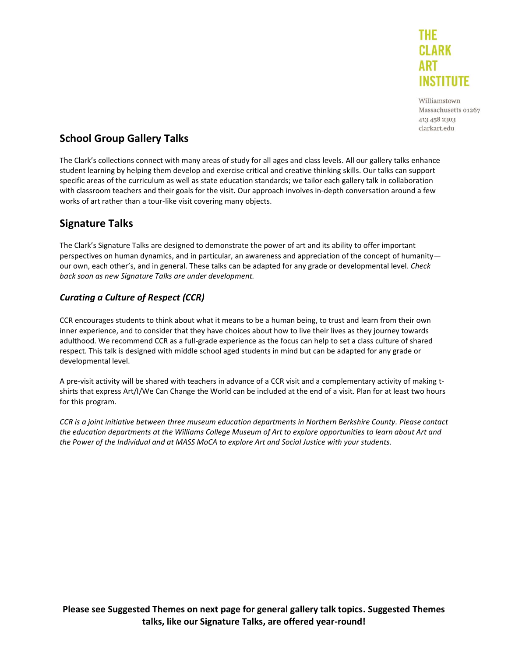

Williamstown Massachusetts 01267 413 458 2303 clarkart.edu

# **School Group Gallery Talks**

The Clark's collections connect with many areas of study for all ages and class levels. All our gallery talks enhance student learning by helping them develop and exercise critical and creative thinking skills. Our talks can support specific areas of the curriculum as well as state education standards; we tailor each gallery talk in collaboration with classroom teachers and their goals for the visit. Our approach involves in-depth conversation around a few works of art rather than a tour-like visit covering many objects.

# **Signature Talks**

The Clark's Signature Talks are designed to demonstrate the power of art and its ability to offer important perspectives on human dynamics, and in particular, an awareness and appreciation of the concept of humanity our own, each other's, and in general. These talks can be adapted for any grade or developmental level. *Check back soon as new Signature Talks are under development.*

# *Curating a Culture of Respect (CCR)*

CCR encourages students to think about what it means to be a human being, to trust and learn from their own inner experience, and to consider that they have choices about how to live their lives as they journey towards adulthood. We recommend CCR as a full-grade experience as the focus can help to set a class culture of shared respect. This talk is designed with middle school aged students in mind but can be adapted for any grade or developmental level.

A pre-visit activity will be shared with teachers in advance of a CCR visit and a complementary activity of making tshirts that express Art/I/We Can Change the World can be included at the end of a visit. Plan for at least two hours for this program.

*CCR is a joint initiative between three museum education departments in Northern Berkshire County. Please contact the education departments at the Williams College Museum of Art to explore opportunities to learn about Art and the Power of the Individual and at MASS MoCA to explore Art and Social Justice with your students.*